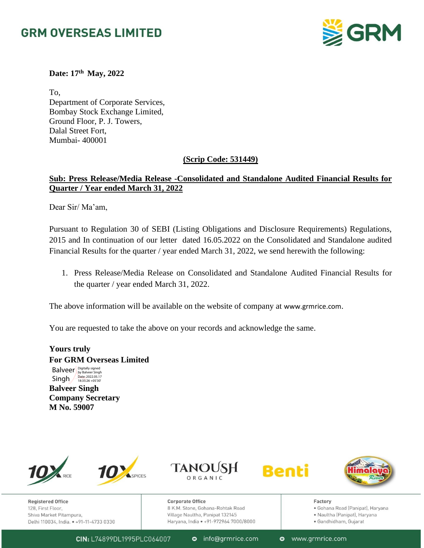# **GRM OVERSEAS LIMITED**



**Date: 17th May, 2022**

To, Department of Corporate Services, Bombay Stock Exchange Limited, Ground Floor, P. J. Towers, Dalal Street Fort, Mumbai- 400001

### **(Scrip Code: 531449)**

## **Sub: Press Release/Media Release -Consolidated and Standalone Audited Financial Results for Quarter / Year ended March 31, 2022**

Dear Sir/ Ma'am,

Pursuant to Regulation 30 of SEBI (Listing Obligations and Disclosure Requirements) Regulations, 2015 and In continuation of our letter dated 16.05.2022 on the Consolidated and Standalone audited Financial Results for the quarter / year ended March 31, 2022, we send herewith the following:

1. Press Release/Media Release on Consolidated and Standalone Audited Financial Results for the quarter / year ended March 31, 2022.

The above information will be available on the website of company at [www.grmrice.com](http://www.grmrice.com/).

You are requested to take the above on your records and acknowledge the same.

**Yours truly For GRM Overseas Limited**

**Balveer** Singh Digitally signed by Balveer Singh Date: 2022.05.17 18:35:26 +05'30'

**Balveer Singh Company Secretary M No. 59007**



**Registered Office** 128, First Floor, Shiva Market Pitampura, Delhi 110034, India. • +91-11-4733 0330







Cornorate Office 8 K.M. Stone, Gohana-Rohtak Road Village Naultha, Panipat 132145 Haryana, India • +91-972964 7000/8000 Factory

- · Gohana Road (Panipat), Haryana
- · Naultha (Panipat), Haryana
- · Gandhidham, Gujarat

CIN: L74899DL1995PLC064007

**o** info@grmrice.com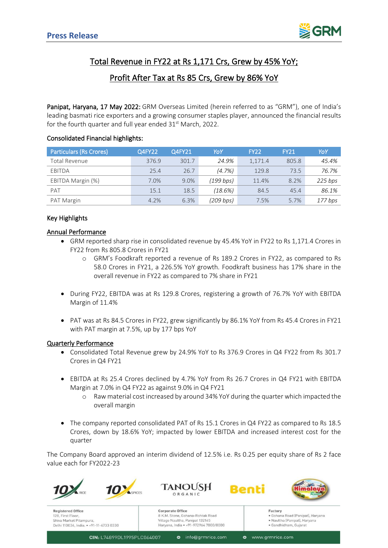

# Total Revenue in FY22 at Rs 1,171 Crs, Grew by 45% YoY;

## Profit After Tax at Rs 85 Crs, Grew by 86% YoY

Panipat, Haryana, 17 May 2022: GRM Overseas Limited (herein referred to as "GRM"), one of India's leading basmati rice exporters and a growing consumer staples player, announced the financial results for the fourth quarter and full year ended 31<sup>st</sup> March, 2022.

#### Consolidated Financial highlights:

| <b>Particulars (Rs Crores)</b> | Q4FY22 | Q4FY21 | YoY       | FY22    | <b>FY21</b> | YoY       |
|--------------------------------|--------|--------|-----------|---------|-------------|-----------|
| Total Revenue                  | 376.9  | 301.7  | 24.9%     | 1,171.4 | 805.8       | 45.4%     |
| <b>EBITDA</b>                  | 25.4   | 26.7   | (4.7%)    | 129.8   | 73.5        | 76.7%     |
| EBITDA Margin (%)              | 7.0%   | 9.0%   | (199 bps) | 11.4%   | 8.2%        | 225 bps   |
| PAT                            | 15.1   | 18.5   | (18.6%)   | 84.5    | 45.4        | 86.1%     |
| PAT Margin                     | 4.2%   | 6.3%   | (209 bps) | 7.5%    | 5.7%        | $177$ bps |

#### Key Highlights

#### Annual Performance

- GRM reported sharp rise in consolidated revenue by 45.4% YoY in FY22 to Rs 1,171.4 Crores in FY22 from Rs 805.8 Crores in FY21
	- o GRM's Foodkraft reported a revenue of Rs 189.2 Crores in FY22, as compared to Rs 58.0 Crores in FY21, a 226.5% YoY growth. Foodkraft business has 17% share in the overall revenue in FY22 as compared to 7% share in FY21
- During FY22, EBITDA was at Rs 129.8 Crores, registering a growth of 76.7% YoY with EBITDA Margin of 11.4%
- PAT was at Rs 84.5 Crores in FY22, grew significantly by 86.1% YoY from Rs 45.4 Crores in FY21 with PAT margin at 7.5%, up by 177 bps YoY

#### Quarterly Performance

- Consolidated Total Revenue grew by 24.9% YoY to Rs 376.9 Crores in Q4 FY22 from Rs 301.7 Crores in Q4 FY21
- EBITDA at Rs 25.4 Crores declined by 4.7% YoY from Rs 26.7 Crores in Q4 FY21 with EBITDA Margin at 7.0% in Q4 FY22 as against 9.0% in Q4 FY21
	- o Raw material cost increased by around 34% YoY during the quarter which impacted the overall margin
- The company reported consolidated PAT of Rs 15.1 Crores in Q4 FY22 as compared to Rs 18.5 Crores, down by 18.6% YoY; impacted by lower EBITDA and increased interest cost for the quarter

The Company Board approved an interim dividend of 12.5% i.e. Rs 0.25 per equity share of Rs 2 face value each for FY2022-23



**Registered Office** 128, First Floor Shiva Market Pitampura, Delhi 110034, India. . +91-11-4733 0330 **Corporate Office** 8 K.M. Stone, Gohana-Rohtak Road Village Naultha, Panipat 132145 Harvana, India · +91-972964 7000/8000

Renti



Factory . aatar **,**<br>• Gohana Road (Panipat), Haryana

· Naultha (Panipat), Haryana · Gandhidham, Guiarat